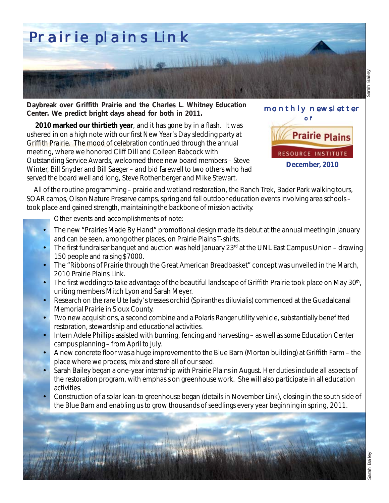

**Daybreak over Griffith Prairie and the Charles L. Whitney Education Center. We predict bright days ahead for both in 2011.**

Griffith Prairie. The mood of celebration continued through the annual **2010 marked our thirtieth year**, and it has gone by in a flash. It was ushered in on a high note with our first New Year's Day sledding party at meeting, where we honored Cliff Dill and Colleen Babcock with Outstanding Service Awards, welcomed three new board members – Steve Winter, Bill Snyder and Bill Saeger – and bid farewell to two others who had served the board well and long, Steve Rothenberger and Mike Stewart.



 All of the routine programming – prairie and wetland restoration, the Ranch Trek, Bader Park walking tours, SOAR camps, Olson Nature Preserve camps, spring and fall outdoor education events involving area schools – took place and gained strength, maintaining the backbone of mission activity.

Other events and accomplishments of note:

- The new "Prairies Made By Hand" promotional design made its debut at the annual meeting in January and can be seen, among other places, on Prairie Plains T-shirts.
- The first fundraiser banquet and auction was held January  $23<sup>rd</sup>$  at the UNL East Campus Union drawing 150 people and raising \$7000.
- The "Ribbons of Prairie through the Great American Breadbasket" concept was unveiled in the March, 2010 *Prairie Plains Link*.
- The first wedding to take advantage of the beautiful landscape of Griffith Prairie took place on May 30<sup>th</sup>, uniting members Mitch Lyon and Sarah Meyer.
- Research on the rare Ute lady's tresses orchid (*Spiranthes diluvialis*) commenced at the Guadalcanal Memorial Prairie in Sioux County.
- Two new acquisitions, a second combine and a Polaris Ranger utility vehicle, substantially benefitted restoration, stewardship and educational activities.
- Intern Adele Phillips assisted with burning, fencing and harvesting as well as some Education Center campus planning – from April to July.
- A new concrete floor was a huge improvement to the Blue Barn (Morton building) at Griffith Farm the place where we process, mix and store all of our seed.
- Sarah Bailey began a one-year internship with Prairie Plains in August. Her duties include all aspects of the restoration program, with emphasis on greenhouse work. She will also participate in all education activities.
- Construction of a solar lean-to greenhouse began (details in November *Link*), closing in the south side of the Blue Barn and enabling us to grow thousands of seedlings every year beginning in spring, 2011.